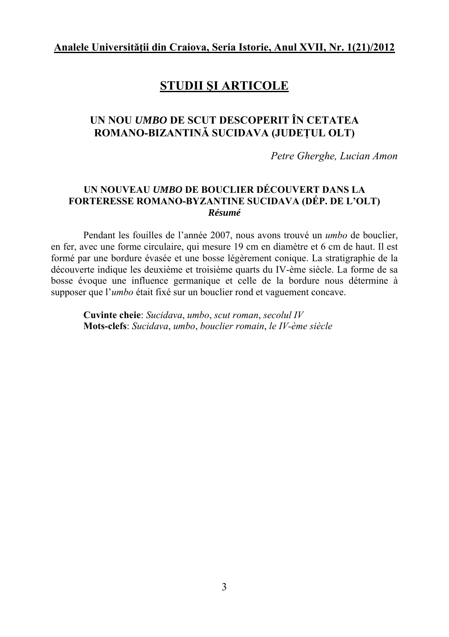# **STUDII ŞI ARTICOLE**

# **UN NOU** *UMBO* **DE SCUT DESCOPERIT ÎN CETATEA ROMANO-BIZANTINĂ SUCIDAVA (JUDEŢUL OLT)**

*Petre Gherghe, Lucian Amon* 

#### **UN NOUVEAU** *UMBO* **DE BOUCLIER DÉCOUVERT DANS LA FORTERESSE ROMANO-BYZANTINE SUCIDAVA (DÉP. DE L'OLT)**  *Résumé*

Pendant les fouilles de l'année 2007, nous avons trouvé un *umbo* de bouclier, en fer, avec une forme circulaire, qui mesure 19 cm en diamètre et 6 cm de haut. Il est formé par une bordure évasée et une bosse légèrement conique. La stratigraphie de la découverte indique les deuxième et troisième quarts du IV-ème siècle. La forme de sa bosse évoque une influence germanique et celle de la bordure nous détermine à supposer que l'*umbo* était fixé sur un bouclier rond et vaguement concave.

**Cuvinte cheie**: *Sucidava*, *umbo*, *scut roman*, *secolul IV* **Mots-clefs**: *Sucidava*, *umbo*, *bouclier romain*, *le IV-ème siècle*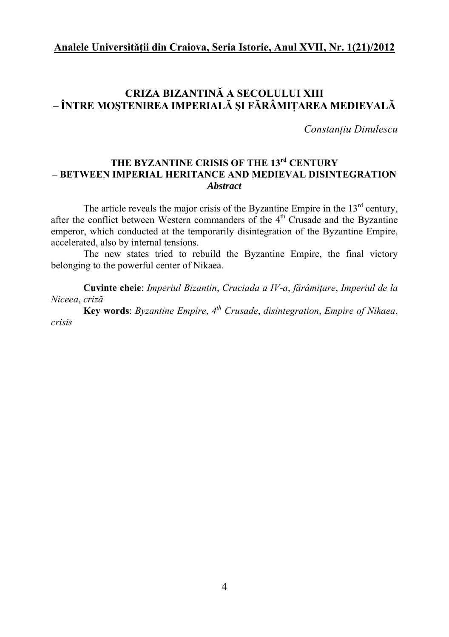## **CRIZA BIZANTINĂ A SECOLULUI XIII – ÎNTRE MOŞTENIREA IMPERIALĂ ŞI FĂRÂMIŢAREA MEDIEVALĂ**

*Constanţiu Dinulescu* 

### **THE BYZANTINE CRISIS OF THE 13rd CENTURY – BETWEEN IMPERIAL HERITANCE AND MEDIEVAL DISINTEGRATION**  *Abstract*

The article reveals the major crisis of the Byzantine Empire in the  $13<sup>rd</sup>$  century, after the conflict between Western commanders of the  $4<sup>th</sup>$  Crusade and the Byzantine emperor, which conducted at the temporarily disintegration of the Byzantine Empire, accelerated, also by internal tensions.

The new states tried to rebuild the Byzantine Empire, the final victory belonging to the powerful center of Nikaea.

**Cuvinte cheie**: *Imperiul Bizantin*, *Cruciada a IV-a*, *fărâmiţare*, *Imperiul de la Niceea*, *criză*

**Key words**: *Byzantine Empire*, *4th Crusade*, *disintegration*, *Empire of Nikaea*, *crisis*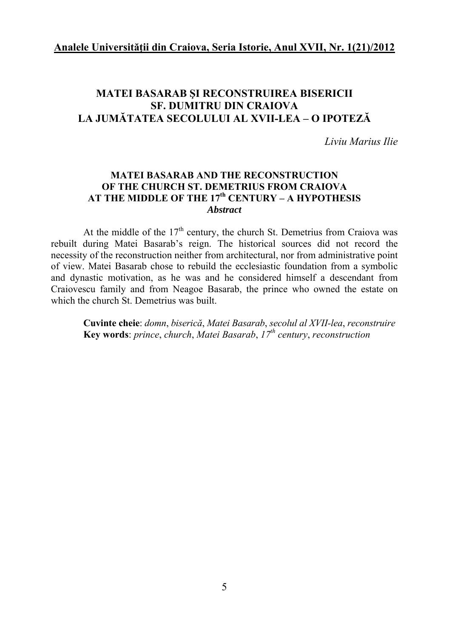### **MATEI BASARAB ŞI RECONSTRUIREA BISERICII SF. DUMITRU DIN CRAIOVA LA JUMĂTATEA SECOLULUI AL XVII-LEA – O IPOTEZĂ**

*Liviu Marius Ilie* 

#### **MATEI BASARAB AND THE RECONSTRUCTION OF THE CHURCH ST. DEMETRIUS FROM CRAIOVA AT THE MIDDLE OF THE 17th CENTURY – A HYPOTHESIS**  *Abstract*

At the middle of the  $17<sup>th</sup>$  century, the church St. Demetrius from Craiova was rebuilt during Matei Basarab's reign. The historical sources did not record the necessity of the reconstruction neither from architectural, nor from administrative point of view. Matei Basarab chose to rebuild the ecclesiastic foundation from a symbolic and dynastic motivation, as he was and he considered himself a descendant from Craiovescu family and from Neagoe Basarab, the prince who owned the estate on which the church St. Demetrius was built.

**Cuvinte cheie**: *domn*, *biserică*, *Matei Basarab*, *secolul al XVII-lea*, *reconstruire*  **Key words**: *prince*, *church*, *Matei Basarab*, *17th century*, *reconstruction*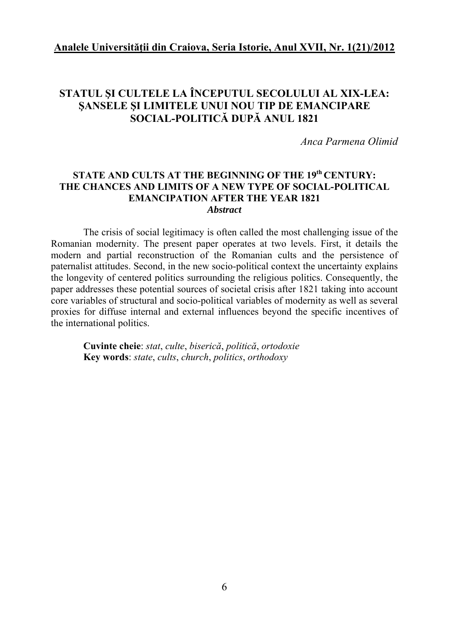## **STATUL ŞI CULTELE LA ÎNCEPUTUL SECOLULUI AL XIX-LEA: ŞANSELE ŞI LIMITELE UNUI NOU TIP DE EMANCIPARE SOCIAL-POLITICĂ DUPĂ ANUL 1821**

*Anca Parmena Olimid*

#### **STATE AND CULTS AT THE BEGINNING OF THE 19th CENTURY: THE CHANCES AND LIMITS OF A NEW TYPE OF SOCIAL-POLITICAL EMANCIPATION AFTER THE YEAR 1821**  *Abstract*

The crisis of social legitimacy is often called the most challenging issue of the Romanian modernity. The present paper operates at two levels. First, it details the modern and partial reconstruction of the Romanian cults and the persistence of paternalist attitudes. Second, in the new socio-political context the uncertainty explains the longevity of centered politics surrounding the religious politics. Consequently, the paper addresses these potential sources of societal crisis after 1821 taking into account core variables of structural and socio-political variables of modernity as well as several proxies for diffuse internal and external influences beyond the specific incentives of the international politics.

**Cuvinte cheie**: *stat*, *culte*, *biserică*, *politică*, *ortodoxie* **Key words**: *state*, *cults*, *church*, *politics*, *orthodoxy*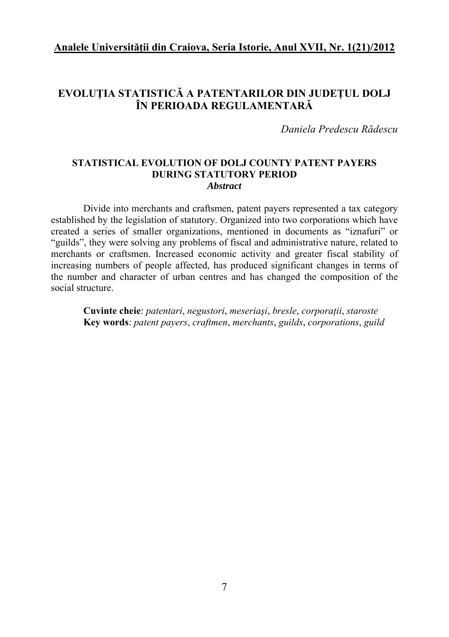## **EVOLUŢIA STATISTICĂ A PATENTARILOR DIN JUDEŢUL DOLJ ÎN PERIOADA REGULAMENTARĂ**

*Daniela Predescu Rădescu* 

#### **STATISTICAL EVOLUTION OF DOLJ COUNTY PATENT PAYERS DURING STATUTORY PERIOD**  *Abstract*

Divide into merchants and craftsmen, patent payers represented a tax category established by the legislation of statutory. Organized into two corporations which have created a series of smaller organizations, mentioned in documents as "iznafuri" or "guilds", they were solving any problems of fiscal and administrative nature, related to merchants or craftsmen. Increased economic activity and greater fiscal stability of increasing numbers of people affected, has produced significant changes in terms of the number and character of urban centres and has changed the composition of the social structure.

**Cuvinte cheie**: *patentari*, *negustori*, *meseriaşi*, *bresle*, *corporaţii*, *staroste* **Key words**: *patent payers*, *craftmen*, *merchants*, *guilds*, *corporations*, *guild*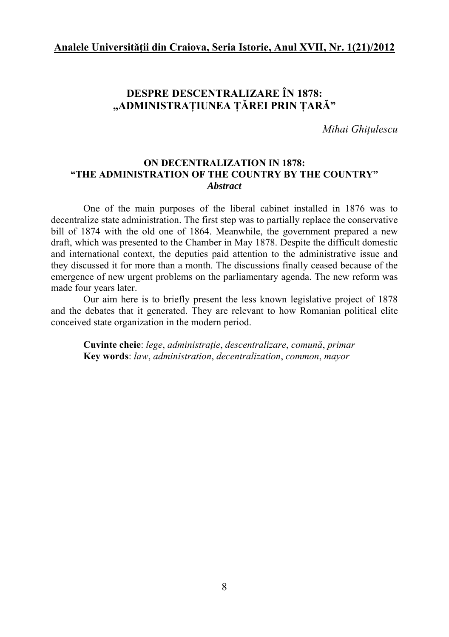## **DESPRE DESCENTRALIZARE ÎN 1878: "ADMINISTRAŢIUNEA ŢĂREI PRIN ŢARĂ"**

*Mihai Ghiţulescu* 

#### **ON DECENTRALIZATION IN 1878: "THE ADMINISTRATION OF THE COUNTRY BY THE COUNTRY"**  *Abstract*

One of the main purposes of the liberal cabinet installed in 1876 was to decentralize state administration. The first step was to partially replace the conservative bill of 1874 with the old one of 1864. Meanwhile, the government prepared a new draft, which was presented to the Chamber in May 1878. Despite the difficult domestic and international context, the deputies paid attention to the administrative issue and they discussed it for more than a month. The discussions finally ceased because of the emergence of new urgent problems on the parliamentary agenda. The new reform was made four years later.

Our aim here is to briefly present the less known legislative project of 1878 and the debates that it generated. They are relevant to how Romanian political elite conceived state organization in the modern period.

**Cuvinte cheie**: *lege*, *administraţie*, *descentralizare*, *comună*, *primar* **Key words**: *law*, *administration*, *decentralization*, *common*, *mayor*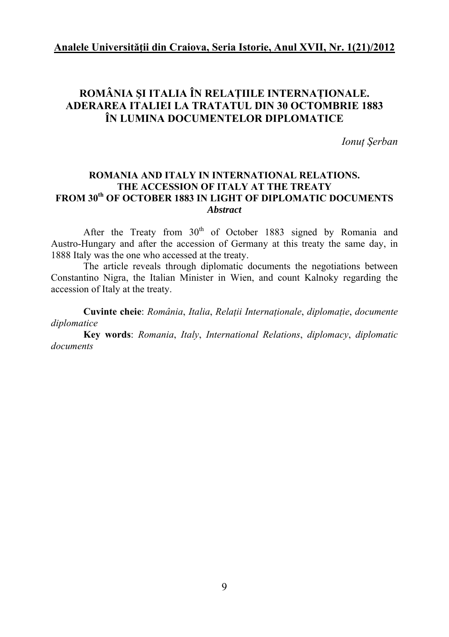## **ROMÂNIA ŞI ITALIA ÎN RELAŢIILE INTERNAŢIONALE. ADERAREA ITALIEI LA TRATATUL DIN 30 OCTOMBRIE 1883 ÎN LUMINA DOCUMENTELOR DIPLOMATICE**

*Ionuţ Şerban* 

#### **ROMANIA AND ITALY IN INTERNATIONAL RELATIONS. THE ACCESSION OF ITALY AT THE TREATY FROM 30th OF OCTOBER 1883 IN LIGHT OF DIPLOMATIC DOCUMENTS**  *Abstract*

After the Treaty from 30<sup>th</sup> of October 1883 signed by Romania and Austro-Hungary and after the accession of Germany at this treaty the same day, in 1888 Italy was the one who accessed at the treaty.

The article reveals through diplomatic documents the negotiations between Constantino Nigra, the Italian Minister in Wien, and count Kalnoky regarding the accession of Italy at the treaty.

**Cuvinte cheie**: *România*, *Italia*, *Relaţii Internaţionale*, *diplomaţie*, *documente diplomatice*

**Key words**: *Romania*, *Italy*, *International Relations*, *diplomacy*, *diplomatic documents*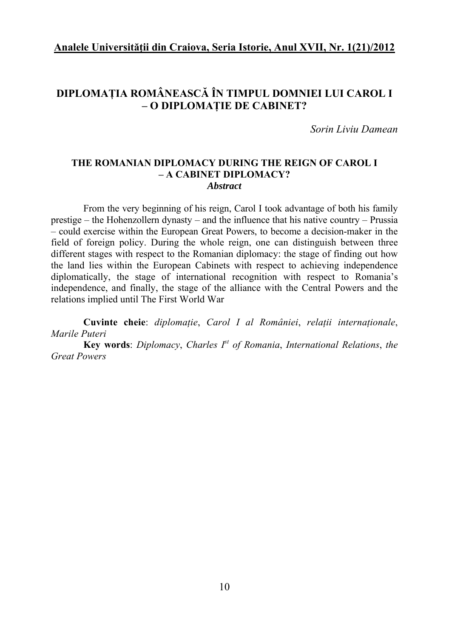## **DIPLOMAŢIA ROMÂNEASCĂ ÎN TIMPUL DOMNIEI LUI CAROL I – O DIPLOMAŢIE DE CABINET?**

*Sorin Liviu Damean* 

#### **THE ROMANIAN DIPLOMACY DURING THE REIGN OF CAROL I – A CABINET DIPLOMACY?**  *Abstract*

From the very beginning of his reign, Carol I took advantage of both his family prestige – the Hohenzollern dynasty – and the influence that his native country – Prussia – could exercise within the European Great Powers, to become a decision-maker in the field of foreign policy. During the whole reign, one can distinguish between three different stages with respect to the Romanian diplomacy: the stage of finding out how the land lies within the European Cabinets with respect to achieving independence diplomatically, the stage of international recognition with respect to Romania's independence, and finally, the stage of the alliance with the Central Powers and the relations implied until The First World War

**Cuvinte cheie**: *diplomaţie*, *Carol I al României*, *relaţii internaţionale*, *Marile Puteri*

**Key words**: *Diplomacy*, *Charles Ist of Romania*, *International Relations*, *the Great Powers*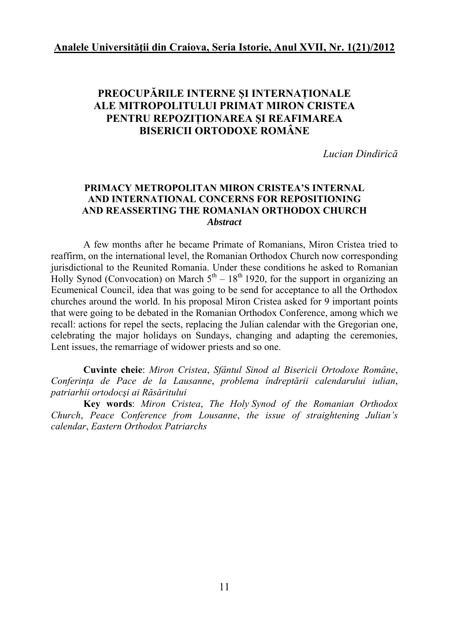## **PREOCUPĂRILE INTERNE ŞI INTERNAŢIONALE ALE MITROPOLITULUI PRIMAT MIRON CRISTEA PENTRU REPOZIŢIONAREA ŞI REAFIMAREA BISERICII ORTODOXE ROMÂNE**

*Lucian Dindirică*

#### **PRIMACY METROPOLITAN MIRON CRISTEA'S INTERNAL AND INTERNATIONAL CONCERNS FOR REPOSITIONING AND REASSERTING THE ROMANIAN ORTHODOX CHURCH**  *Abstract*

A few months after he became Primate of Romanians, Miron Cristea tried to reaffirm, on the international level, the Romanian Orthodox Church now corresponding jurisdictional to the Reunited Romania. Under these conditions he asked to Romanian Holly Synod (Convocation) on March  $5<sup>th</sup> - 18<sup>th</sup>$  1920, for the support in organizing an Ecumenical Council, idea that was going to be send for acceptance to all the Orthodox churches around the world. In his proposal Miron Cristea asked for 9 important points that were going to be debated in the Romanian Orthodox Conference, among which we recall: actions for repel the sects, replacing the Julian calendar with the Gregorian one, celebrating the major holidays on Sundays, changing and adapting the ceremonies, Lent issues, the remarriage of widower priests and so one.

**Cuvinte cheie**: *Miron Cristea*, *Sfântul Sinod al Bisericii Ortodoxe Române*, *Conferinţa de Pace de la Lausanne*, *problema îndreptării calendarului iulian*, *patriarhii ortodocşi ai Răsăritului*

**Key words**: *Miron Cristea*, *The Holy Synod of the Romanian Orthodox Church*, *Peace Conference from Lousanne*, *the issue of straightening Julian's calendar*, *Eastern Orthodox Patriarchs*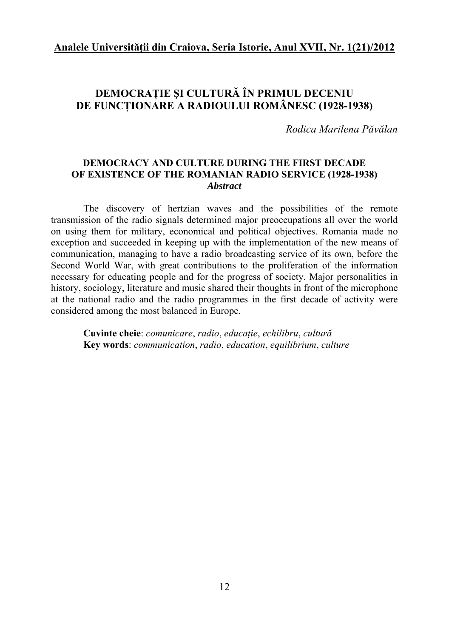## **DEMOCRAŢIE ŞI CULTURĂ ÎN PRIMUL DECENIU DE FUNCŢIONARE A RADIOULUI ROMÂNESC (1928-1938)**

*Rodica Marilena Păvălan* 

#### **DEMOCRACY AND CULTURE DURING THE FIRST DECADE OF EXISTENCE OF THE ROMANIAN RADIO SERVICE (1928-1938)**  *Abstract*

The discovery of hertzian waves and the possibilities of the remote transmission of the radio signals determined major preoccupations all over the world on using them for military, economical and political objectives. Romania made no exception and succeeded in keeping up with the implementation of the new means of communication, managing to have a radio broadcasting service of its own, before the Second World War, with great contributions to the proliferation of the information necessary for educating people and for the progress of society. Major personalities in history, sociology, literature and music shared their thoughts in front of the microphone at the national radio and the radio programmes in the first decade of activity were considered among the most balanced in Europe.

**Cuvinte cheie**: *comunicare*, *radio*, *educaţie*, *echilibru*, *cultură* **Key words**: *communication*, *radio*, *education*, *equilibrium*, *culture*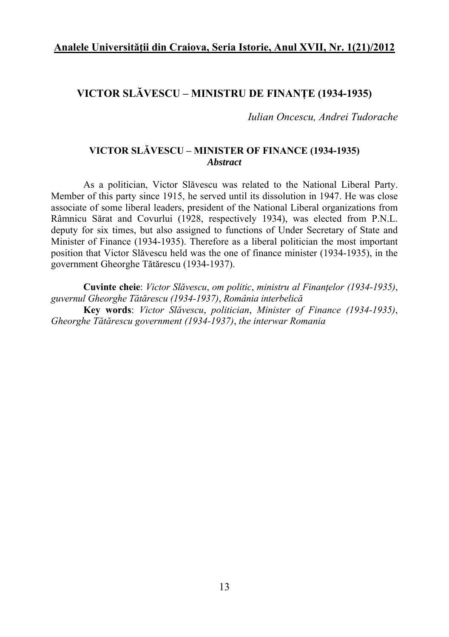#### **VICTOR SLĂVESCU – MINISTRU DE FINANŢE (1934-1935)**

*Iulian Oncescu, Andrei Tudorache* 

#### **VICTOR SLĂVESCU – MINISTER OF FINANCE (1934-1935)**  *Abstract*

As a politician, Victor Slăvescu was related to the National Liberal Party. Member of this party since 1915, he served until its dissolution in 1947. He was close associate of some liberal leaders, president of the National Liberal organizations from Râmnicu Sărat and Covurlui (1928, respectively 1934), was elected from P.N.L. deputy for six times, but also assigned to functions of Under Secretary of State and Minister of Finance (1934-1935). Therefore as a liberal politician the most important position that Victor Slăvescu held was the one of finance minister (1934-1935), in the government Gheorghe Tătărescu (1934-1937).

**Cuvinte cheie**: *Victor Slăvescu*, *om politic*, *ministru al Finanţelor (1934-1935)*, *guvernul Gheorghe Tătărescu (1934-1937)*, *România interbelică* **Key words**: *Victor Slăvescu*, *politician*, *Minister of Finance (1934-1935)*, *Gheorghe Tătărescu government (1934-1937)*, *the interwar Romania*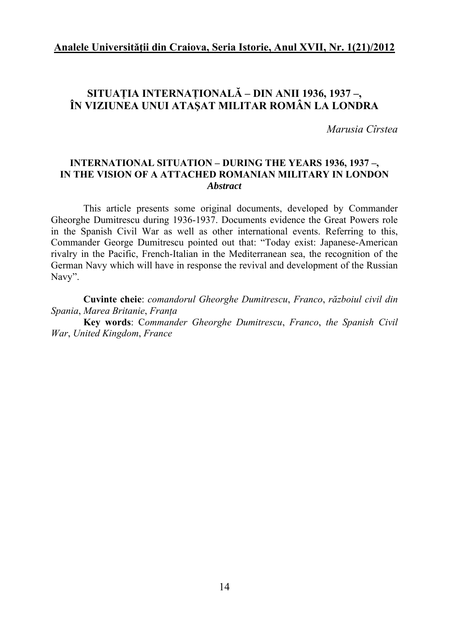## **SITUAŢIA INTERNAŢIONALĂ – DIN ANII 1936, 1937 –, ÎN VIZIUNEA UNUI ATAŞAT MILITAR ROMÂN LA LONDRA**

*Marusia Cîrstea* 

#### **INTERNATIONAL SITUATION – DURING THE YEARS 1936, 1937 –, IN THE VISION OF A ATTACHED ROMANIAN MILITARY IN LONDON**  *Abstract*

This article presents some original documents, developed by Commander Gheorghe Dumitrescu during 1936-1937. Documents evidence the Great Powers role in the Spanish Civil War as well as other international events. Referring to this, Commander George Dumitrescu pointed out that: "Today exist: Japanese-American rivalry in the Pacific, French-Italian in the Mediterranean sea, the recognition of the German Navy which will have in response the revival and development of the Russian Navy".

**Cuvinte cheie**: *comandorul Gheorghe Dumitrescu*, *Franco*, *războiul civil din Spania*, *Marea Britanie*, *Franţa*

**Key words**: C*ommander Gheorghe Dumitrescu*, *Franco*, *the Spanish Civil War*, *United Kingdom*, *France*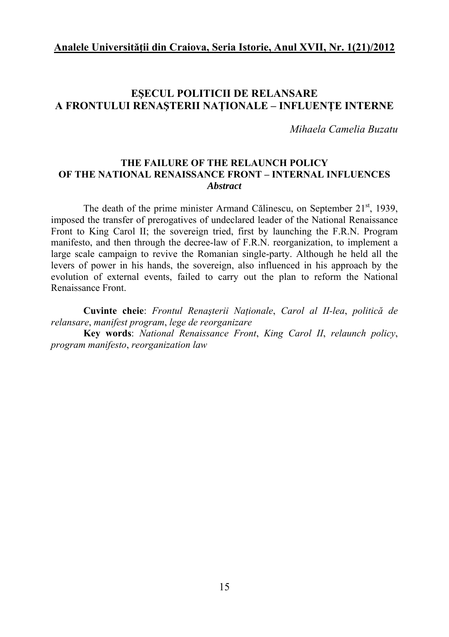### **EŞECUL POLITICII DE RELANSARE A FRONTULUI RENAŞTERII NAŢIONALE – INFLUENŢE INTERNE**

*Mihaela Camelia Buzatu* 

#### **THE FAILURE OF THE RELAUNCH POLICY OF THE NATIONAL RENAISSANCE FRONT – INTERNAL INFLUENCES**  *Abstract*

The death of the prime minister Armand Călinescu, on September  $21<sup>st</sup>$ , 1939, imposed the transfer of prerogatives of undeclared leader of the National Renaissance Front to King Carol II; the sovereign tried, first by launching the F.R.N. Program manifesto, and then through the decree-law of F.R.N. reorganization, to implement a large scale campaign to revive the Romanian single-party. Although he held all the levers of power in his hands, the sovereign, also influenced in his approach by the evolution of external events, failed to carry out the plan to reform the National Renaissance Front.

**Cuvinte cheie**: *Frontul Renaşterii Naţionale*, *Carol al II-lea*, *politică de relansare*, *manifest program*, *lege de reorganizare*

**Key words**: *National Renaissance Front*, *King Carol II*, *relaunch policy*, *program manifesto*, *reorganization law*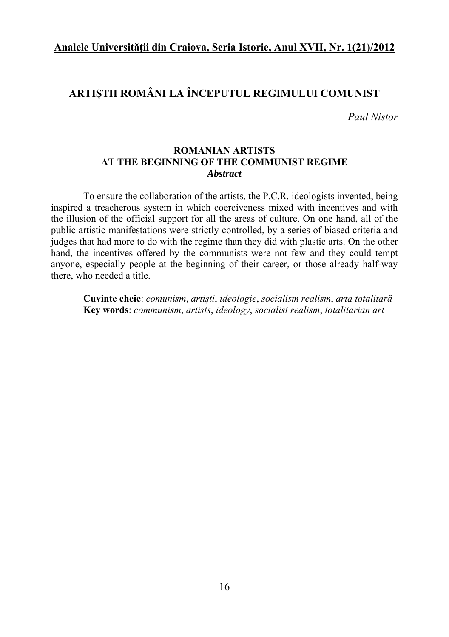### **ARTIŞTII ROMÂNI LA ÎNCEPUTUL REGIMULUI COMUNIST**

*Paul Nistor* 

#### **ROMANIAN ARTISTS AT THE BEGINNING OF THE COMMUNIST REGIME**  *Abstract*

To ensure the collaboration of the artists, the P.C.R. ideologists invented, being inspired a treacherous system in which coerciveness mixed with incentives and with the illusion of the official support for all the areas of culture. On one hand, all of the public artistic manifestations were strictly controlled, by a series of biased criteria and judges that had more to do with the regime than they did with plastic arts. On the other hand, the incentives offered by the communists were not few and they could tempt anyone, especially people at the beginning of their career, or those already half-way there, who needed a title.

**Cuvinte cheie**: *comunism*, *artişti*, *ideologie*, *socialism realism*, *arta totalitară* **Key words**: *communism*, *artists*, *ideology*, *socialist realism*, *totalitarian art*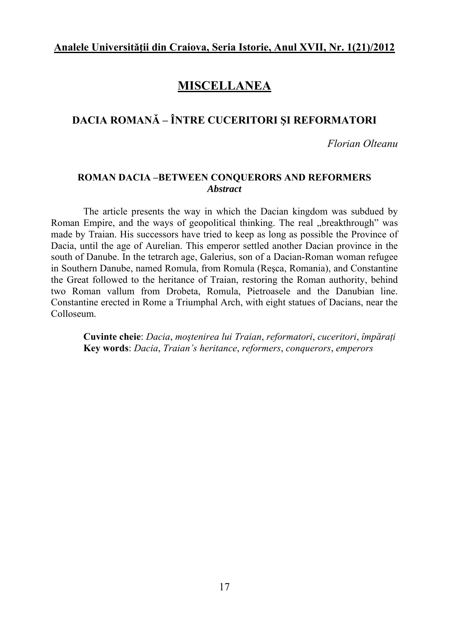# **MISCELLANEA**

## **DACIA ROMANĂ – ÎNTRE CUCERITORI ŞI REFORMATORI**

*Florian Olteanu* 

#### **ROMAN DACIA –BETWEEN CONQUERORS AND REFORMERS**  *Abstract*

The article presents the way in which the Dacian kingdom was subdued by Roman Empire, and the ways of geopolitical thinking. The real "breakthrough" was made by Traian. His successors have tried to keep as long as possible the Province of Dacia, until the age of Aurelian. This emperor settled another Dacian province in the south of Danube. In the tetrarch age, Galerius, son of a Dacian-Roman woman refugee in Southern Danube, named Romula, from Romula (Reşca, Romania), and Constantine the Great followed to the heritance of Traian, restoring the Roman authority, behind two Roman vallum from Drobeta, Romula, Pietroasele and the Danubian line. Constantine erected in Rome a Triumphal Arch, with eight statues of Dacians, near the Colloseum.

**Cuvinte cheie**: *Dacia*, *moştenirea lui Traian*, *reformatori*, *cuceritori*, *împăraţi*  **Key words**: *Dacia*, *Traian's heritance*, *reformers*, *conquerors*, *emperors*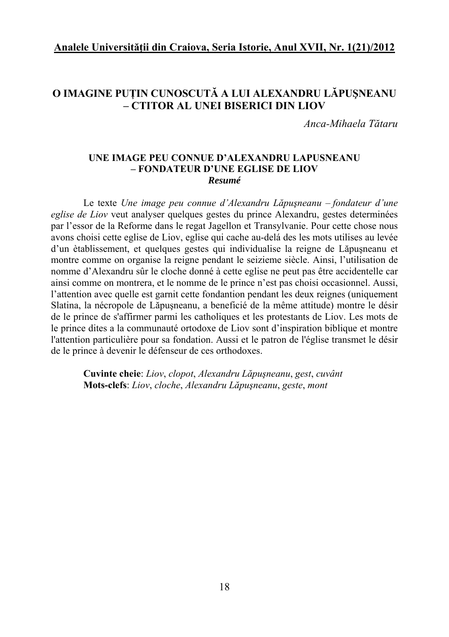### **O IMAGINE PUŢIN CUNOSCUTĂ A LUI ALEXANDRU LĂPUŞNEANU – CTITOR AL UNEI BISERICI DIN LIOV**

*Anca-Mihaela Tătaru* 

#### **UNE IMAGE PEU CONNUE D'ALEXANDRU LAPUSNEANU – FONDATEUR D'UNE EGLISE DE LIOV**  *Resumé*

Le texte *Une image peu connue d'Alexandru Lăpuşneanu – fondateur d'une eglise de Liov* veut analyser quelques gestes du prince Alexandru, gestes determinées par l'essor de la Reforme dans le regat Jagellon et Transylvanie. Pour cette chose nous avons choisi cette eglise de Liov, eglise qui cache au-delá des les mots utilises au levée d'un ètablissement, et quelques gestes qui individualise la reigne de Lăpuşneanu et montre comme on organise la reigne pendant le seizieme siècle. Ainsi, l'utilisation de nomme d'Alexandru sûr le cloche donné à cette eglise ne peut pas être accidentelle car ainsi comme on montrera, et le nomme de le prince n'est pas choisi occasionnel. Aussi, l'attention avec quelle est garnit cette fondantion pendant les deux reignes (uniquement Slatina, la nécropole de Lăpuşneanu, a beneficié de la même attitude) montre le désir de le prince de s'affirmer parmi les catholiques et les protestants de Liov. Les mots de le prince dites a la communauté ortodoxe de Liov sont d'inspiration biblique et montre l'attention particulière pour sa fondation. Aussi et le patron de l'église transmet le désir de le prince à devenir le défenseur de ces orthodoxes.

**Cuvinte cheie**: *Liov*, *clopot*, *Alexandru Lăpuşneanu*, *gest*, *cuvânt* **Mots-clefs**: *Liov*, *cloche*, *Alexandru Lăpuşneanu*, *geste*, *mont*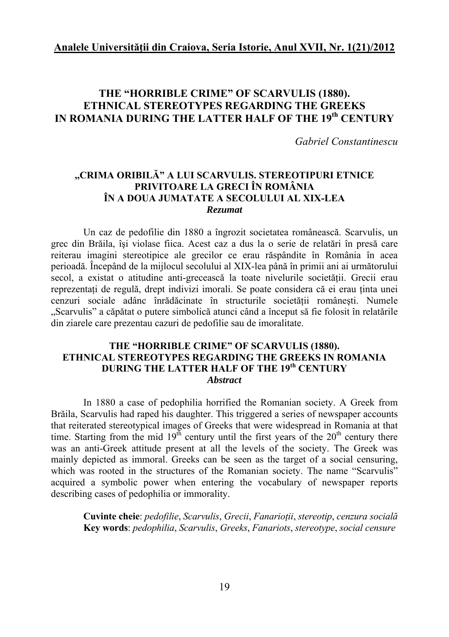### **THE "HORRIBLE CRIME" OF SCARVULIS (1880). ETHNICAL STEREOTYPES REGARDING THE GREEKS IN ROMANIA DURING THE LATTER HALF OF THE 19th CENTURY**

*Gabriel Constantinescu* 

#### **,,CRIMA ORIBILĂ" A LUI SCARVULIS. STEREOTIPURI ETNICE PRIVITOARE LA GRECI ÎN ROMÂNIA ÎN A DOUA JUMATATE A SECOLULUI AL XIX-LEA**  *Rezumat*

Un caz de pedofilie din 1880 a îngrozit societatea românească. Scarvulis, un grec din Brăila, îşi violase fiica. Acest caz a dus la o serie de relatări în presă care reiterau imagini stereotipice ale grecilor ce erau răspândite în România în acea perioadă. Începând de la mijlocul secolului al XIX-lea până în primii ani ai următorului secol, a existat o atitudine anti-grecească la toate nivelurile societății. Grecii erau reprezentati de regulă, drept indivizi imorali. Se poate considera că ei erau tinta unei cenzuri sociale adânc înrădăcinate în structurile societății românești. Numele "Scarvulis" a căpătat o putere simbolică atunci când a început să fie folosit în relatările din ziarele care prezentau cazuri de pedofilie sau de imoralitate.

#### **THE "HORRIBLE CRIME" OF SCARVULIS (1880). ETHNICAL STEREOTYPES REGARDING THE GREEKS IN ROMANIA DURING THE LATTER HALF OF THE 19th CENTURY**  *Abstract*

In 1880 a case of pedophilia horrified the Romanian society. A Greek from Brăila, Scarvulis had raped his daughter. This triggered a series of newspaper accounts that reiterated stereotypical images of Greeks that were widespread in Romania at that time. Starting from the mid  $19<sup>th</sup>$  century until the first years of the  $20<sup>th</sup>$  century there was an anti-Greek attitude present at all the levels of the society. The Greek was mainly depicted as immoral. Greeks can be seen as the target of a social censuring, which was rooted in the structures of the Romanian society. The name "Scarvulis" acquired a symbolic power when entering the vocabulary of newspaper reports describing cases of pedophilia or immorality.

**Cuvinte cheie**: *pedofilie*, *Scarvulis*, *Grecii*, *Fanarioţii*, *stereotip*, *cenzura socială* **Key words**: *pedophilia*, *Scarvulis*, *Greeks*, *Fanariots*, *stereotype*, *social censure*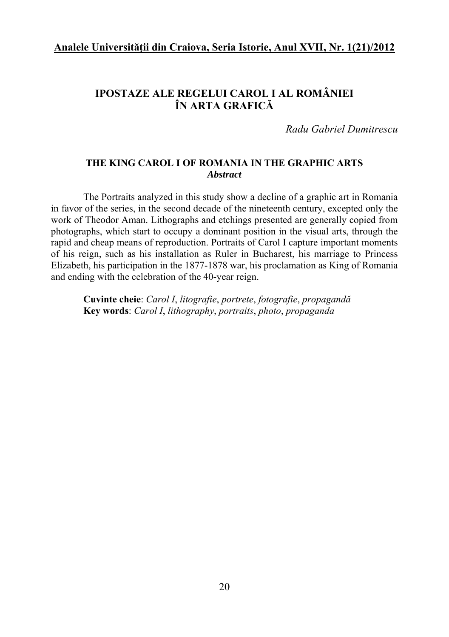# **IPOSTAZE ALE REGELUI CAROL I AL ROMÂNIEI ÎN ARTA GRAFICĂ**

*Radu Gabriel Dumitrescu* 

#### **THE KING CAROL I OF ROMANIA IN THE GRAPHIC ARTS** *Abstract*

The Portraits analyzed in this study show a decline of a graphic art in Romania in favor of the series, in the second decade of the nineteenth century, excepted only the work of Theodor Aman. Lithographs and etchings presented are generally copied from photographs, which start to occupy a dominant position in the visual arts, through the rapid and cheap means of reproduction. Portraits of Carol I capture important moments of his reign, such as his installation as Ruler in Bucharest, his marriage to Princess Elizabeth, his participation in the 1877-1878 war, his proclamation as King of Romania and ending with the celebration of the 40-year reign.

**Cuvinte cheie**: *Carol I*, *litografie*, *portrete*, *fotografie*, *propagandă* **Key words**: *Carol I*, *lithography*, *portraits*, *photo*, *propaganda*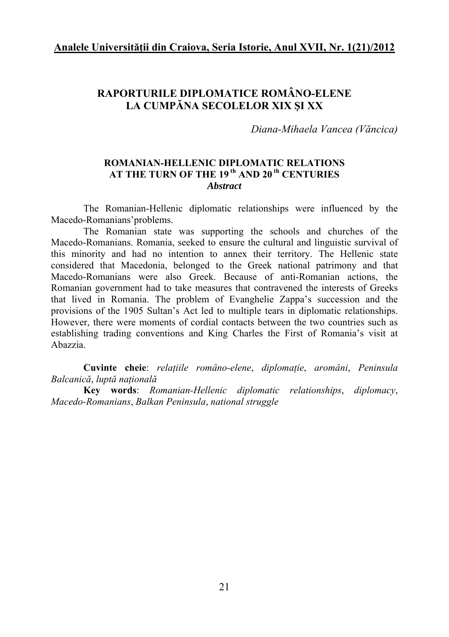# **RAPORTURILE DIPLOMATICE ROMÂNO-ELENE LA CUMPĂNA SECOLELOR XIX ŞI XX**

*Diana-Mihaela Vancea (Văncica)* 

#### **ROMANIAN-HELLENIC DIPLOMATIC RELATIONS**  AT THE TURN OF THE 19<sup>th</sup> AND 20<sup>th</sup> CENTURIES *Abstract*

The Romanian-Hellenic diplomatic relationships were influenced by the Macedo-Romanians'problems.

The Romanian state was supporting the schools and churches of the Macedo-Romanians. Romania, seeked to ensure the cultural and linguistic survival of this minority and had no intention to annex their territory. The Hellenic state considered that Macedonia, belonged to the Greek national patrimony and that Macedo-Romanians were also Greek. Because of anti-Romanian actions, the Romanian government had to take measures that contravened the interests of Greeks that lived in Romania. The problem of Evanghelie Zappa's succession and the provisions of the 1905 Sultan's Act led to multiple tears in diplomatic relationships. However, there were moments of cordial contacts between the two countries such as establishing trading conventions and King Charles the First of Romania's visit at Abazzia.

**Cuvinte cheie**: *relaţiile româno-elene*, *diplomaţie*, *aromâni*, *Peninsula Balcanică*, *luptă naţională*

**Key words**: *Romanian-Hellenic diplomatic relationships*, *diplomacy*, *Macedo-Romanians*, *Balkan Peninsula*, *national struggle*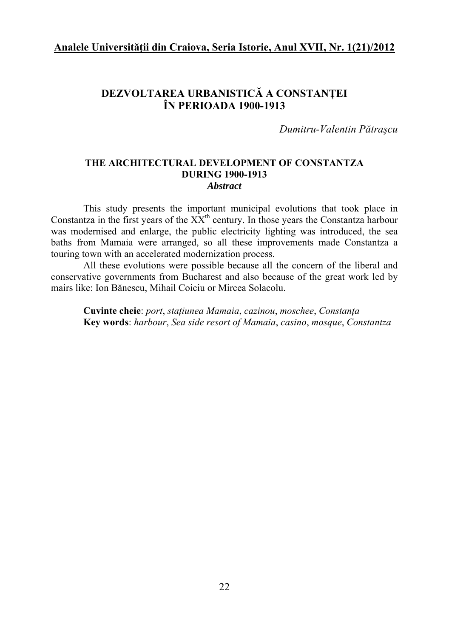## **DEZVOLTAREA URBANISTICĂ A CONSTANŢEI ÎN PERIOADA 1900-1913**

*Dumitru-Valentin Pătraşcu* 

#### **THE ARCHITECTURAL DEVELOPMENT OF CONSTANTZA DURING 1900-1913**  *Abstract*

This study presents the important municipal evolutions that took place in Constantza in the first years of the  $XX<sup>th</sup>$  century. In those years the Constantza harbour was modernised and enlarge, the public electricity lighting was introduced, the sea baths from Mamaia were arranged, so all these improvements made Constantza a touring town with an accelerated modernization process.

All these evolutions were possible because all the concern of the liberal and conservative governments from Bucharest and also because of the great work led by mairs like: Ion Bănescu, Mihail Coiciu or Mircea Solacolu.

**Cuvinte cheie**: *port*, *staţiunea Mamaia*, *cazinou*, *moschee*, *Constanţa* **Key words**: *harbour*, *Sea side resort of Mamaia*, *casino*, *mosque*, *Constantza*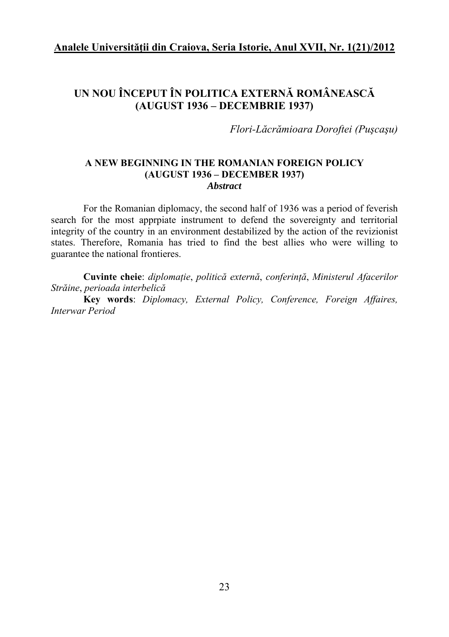# **UN NOU ÎNCEPUT ÎN POLITICA EXTERNĂ ROMÂNEASCĂ (AUGUST 1936 – DECEMBRIE 1937)**

*Flori-Lăcrămioara Doroftei (Puşcaşu)* 

#### **A NEW BEGINNING IN THE ROMANIAN FOREIGN POLICY (AUGUST 1936 – DECEMBER 1937)**  *Abstract*

For the Romanian diplomacy, the second half of 1936 was a period of feverish search for the most apprpiate instrument to defend the sovereignty and territorial integrity of the country in an environment destabilized by the action of the revizionist states. Therefore, Romania has tried to find the best allies who were willing to guarantee the national frontieres.

**Cuvinte cheie**: *diplomaţie*, *politică externă*, *conferinţă*, *Ministerul Afacerilor Străine*, *perioada interbelică*

**Key words**: *Diplomacy, External Policy, Conference, Foreign Affaires, Interwar Period*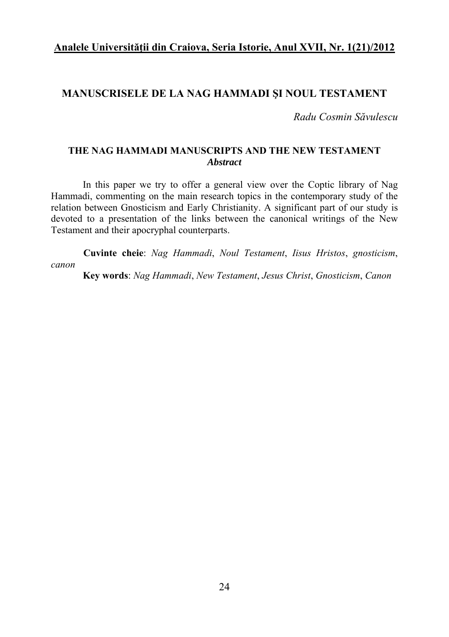#### **MANUSCRISELE DE LA NAG HAMMADI ŞI NOUL TESTAMENT**

*Radu Cosmin Săvulescu* 

#### **THE NAG HAMMADI MANUSCRIPTS AND THE NEW TESTAMENT**  *Abstract*

In this paper we try to offer a general view over the Coptic library of Nag Hammadi, commenting on the main research topics in the contemporary study of the relation between Gnosticism and Early Christianity. A significant part of our study is devoted to a presentation of the links between the canonical writings of the New Testament and their apocryphal counterparts.

**Cuvinte cheie**: *Nag Hammadi*, *Noul Testament*, *Iisus Hristos*, *gnosticism*, *canon*

**Key words**: *Nag Hammadi*, *New Testament*, *Jesus Christ*, *Gnosticism*, *Canon*